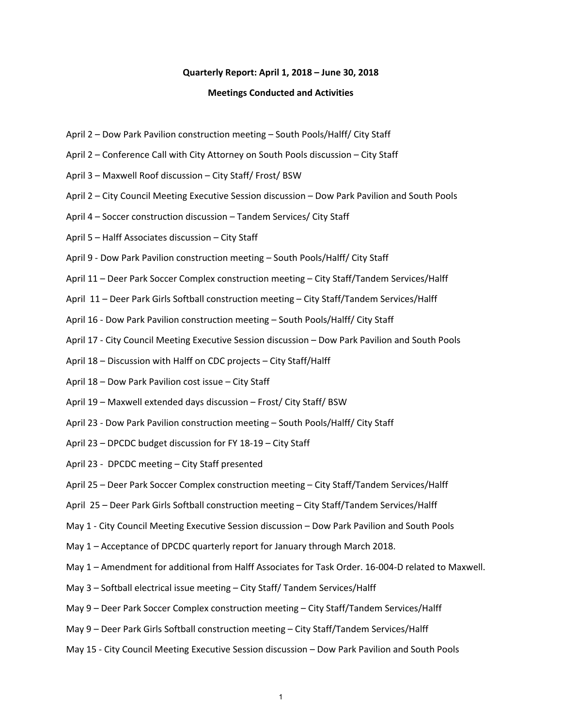#### **Quarterly Report: April 1, 2018 – June 30, 2018**

#### **Meetings Conducted and Activities**

- April 2 Dow Park Pavilion construction meeting South Pools/Halff/ City Staff
- April 2 Conference Call with City Attorney on South Pools discussion City Staff
- April 3 Maxwell Roof discussion City Staff/ Frost/ BSW
- April 2 City Council Meeting Executive Session discussion Dow Park Pavilion and South Pools
- April 4 Soccer construction discussion Tandem Services/ City Staff
- April 5 Halff Associates discussion City Staff
- April 9 ‐ Dow Park Pavilion construction meeting South Pools/Halff/ City Staff
- April 11 Deer Park Soccer Complex construction meeting City Staff/Tandem Services/Halff
- April 11 Deer Park Girls Softball construction meeting City Staff/Tandem Services/Halff
- April 16 ‐ Dow Park Pavilion construction meeting South Pools/Halff/ City Staff
- April 17 ‐ City Council Meeting Executive Session discussion Dow Park Pavilion and South Pools
- April 18 Discussion with Halff on CDC projects City Staff/Halff
- April 18 Dow Park Pavilion cost issue City Staff
- April 19 Maxwell extended days discussion Frost/ City Staff/ BSW
- April 23 ‐ Dow Park Pavilion construction meeting South Pools/Halff/ City Staff
- April 23 DPCDC budget discussion for FY 18‐19 City Staff
- April 23 ‐ DPCDC meeting City Staff presented
- April 25 Deer Park Soccer Complex construction meeting City Staff/Tandem Services/Halff
- April 25 Deer Park Girls Softball construction meeting City Staff/Tandem Services/Halff
- May 1 City Council Meeting Executive Session discussion Dow Park Pavilion and South Pools
- May 1 Acceptance of DPCDC quarterly report for January through March 2018.
- May 1 Amendment for additional from Halff Associates for Task Order. 16‐004‐D related to Maxwell.
- May 3 Softball electrical issue meeting City Staff/ Tandem Services/Halff
- May 9 Deer Park Soccer Complex construction meeting City Staff/Tandem Services/Halff
- May 9 Deer Park Girls Softball construction meeting City Staff/Tandem Services/Halff
- May 15 ‐ City Council Meeting Executive Session discussion Dow Park Pavilion and South Pools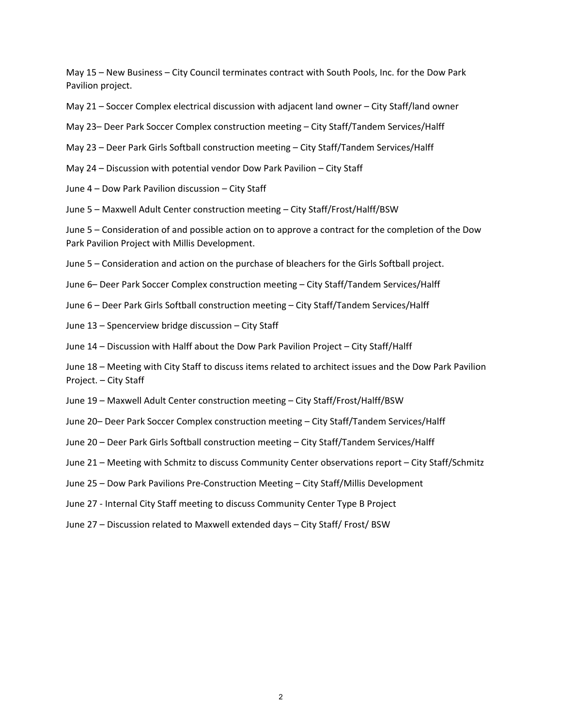May 15 – New Business – City Council terminates contract with South Pools, Inc. for the Dow Park Pavilion project.

- May 21 Soccer Complex electrical discussion with adjacent land owner City Staff/land owner
- May 23– Deer Park Soccer Complex construction meeting City Staff/Tandem Services/Halff
- May 23 Deer Park Girls Softball construction meeting City Staff/Tandem Services/Halff
- May 24 Discussion with potential vendor Dow Park Pavilion City Staff
- June 4 Dow Park Pavilion discussion City Staff
- June 5 Maxwell Adult Center construction meeting City Staff/Frost/Halff/BSW

June 5 – Consideration of and possible action on to approve a contract for the completion of the Dow Park Pavilion Project with Millis Development.

- June 5 Consideration and action on the purchase of bleachers for the Girls Softball project.
- June 6– Deer Park Soccer Complex construction meeting City Staff/Tandem Services/Halff
- June 6 Deer Park Girls Softball construction meeting City Staff/Tandem Services/Halff
- June 13 Spencerview bridge discussion City Staff
- June 14 Discussion with Halff about the Dow Park Pavilion Project City Staff/Halff
- June 18 Meeting with City Staff to discuss items related to architect issues and the Dow Park Pavilion Project. – City Staff
- June 19 Maxwell Adult Center construction meeting City Staff/Frost/Halff/BSW
- June 20– Deer Park Soccer Complex construction meeting City Staff/Tandem Services/Halff
- June 20 Deer Park Girls Softball construction meeting City Staff/Tandem Services/Halff
- June 21 Meeting with Schmitz to discuss Community Center observations report City Staff/Schmitz
- June 25 Dow Park Pavilions Pre‐Construction Meeting City Staff/Millis Development
- June 27 ‐ Internal City Staff meeting to discuss Community Center Type B Project
- June 27 Discussion related to Maxwell extended days City Staff/ Frost/ BSW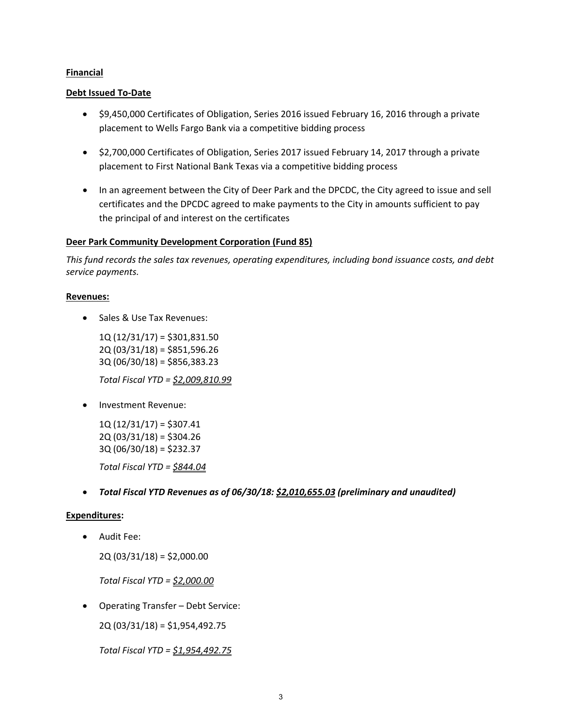#### **Financial**

#### **Debt Issued To‐Date**

- \$9,450,000 Certificates of Obligation, Series 2016 issued February 16, 2016 through a private placement to Wells Fargo Bank via a competitive bidding process
- \$2,700,000 Certificates of Obligation, Series 2017 issued February 14, 2017 through a private placement to First National Bank Texas via a competitive bidding process
- In an agreement between the City of Deer Park and the DPCDC, the City agreed to issue and sell certificates and the DPCDC agreed to make payments to the City in amounts sufficient to pay the principal of and interest on the certificates

# **Deer Park Community Development Corporation (Fund 85)**

*This fund records the sales tax revenues, operating expenditures, including bond issuance costs, and debt service payments.*

#### **Revenues:**

• Sales & Use Tax Revenues:

 1Q (12/31/17) = \$301,831.50 2Q (03/31/18) = \$851,596.26 3Q (06/30/18) = \$856,383.23

*Total Fiscal YTD = \$2,009,810.99*

• Investment Revenue:

 $1Q(12/31/17) = $307.41$ 2Q (03/31/18) = \$304.26 3Q (06/30/18) = \$232.37 *Total Fiscal YTD = \$844.04*

*Total Fiscal YTD Revenues as of 06/30/18: \$2,010,655.03 (preliminary and unaudited)*

# **Expenditures:**

Audit Fee:

2Q (03/31/18) = \$2,000.00

*Total Fiscal YTD = \$2,000.00*

Operating Transfer – Debt Service:

2Q (03/31/18) = \$1,954,492.75

*Total Fiscal YTD = \$1,954,492.75*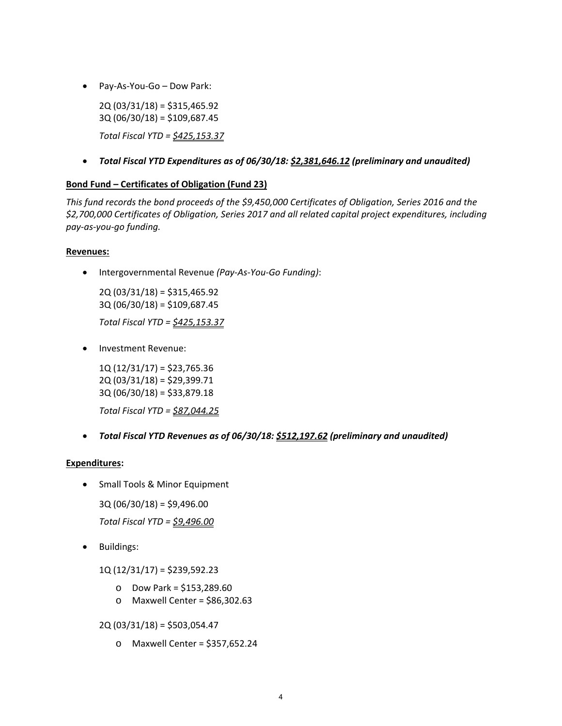Pay‐As‐You‐Go – Dow Park:

2Q (03/31/18) = \$315,465.92 3Q (06/30/18) = \$109,687.45 *Total Fiscal YTD = \$425,153.37*

*Total Fiscal YTD Expenditures as of 06/30/18: \$2,381,646.12 (preliminary and unaudited)*

# **Bond Fund – Certificates of Obligation (Fund 23)**

*This fund records the bond proceeds of the \$9,450,000 Certificates of Obligation, Series 2016 and the \$2,700,000 Certificates of Obligation, Series 2017 and all related capital project expenditures, including pay‐as‐you‐go funding.*

# **Revenues:**

Intergovernmental Revenue *(Pay‐As‐You‐Go Funding)*:

 2Q (03/31/18) = \$315,465.92 3Q (06/30/18) = \$109,687.45 *Total Fiscal YTD = \$425,153.37*

• Investment Revenue:

1Q (12/31/17) = \$23,765.36 2Q (03/31/18) = \$29,399.71 3Q (06/30/18) = \$33,879.18

*Total Fiscal YTD = \$87,044.25*

*Total Fiscal YTD Revenues as of 06/30/18: \$512,197.62 (preliminary and unaudited)*

# **Expenditures:**

• Small Tools & Minor Equipment

3Q (06/30/18) = \$9,496.00

*Total Fiscal YTD = \$9,496.00*

• Buildings:

1Q (12/31/17) = \$239,592.23

- o Dow Park = \$153,289.60
- o Maxwell Center = \$86,302.63

2Q (03/31/18) = \$503,054.47

o Maxwell Center = \$357,652.24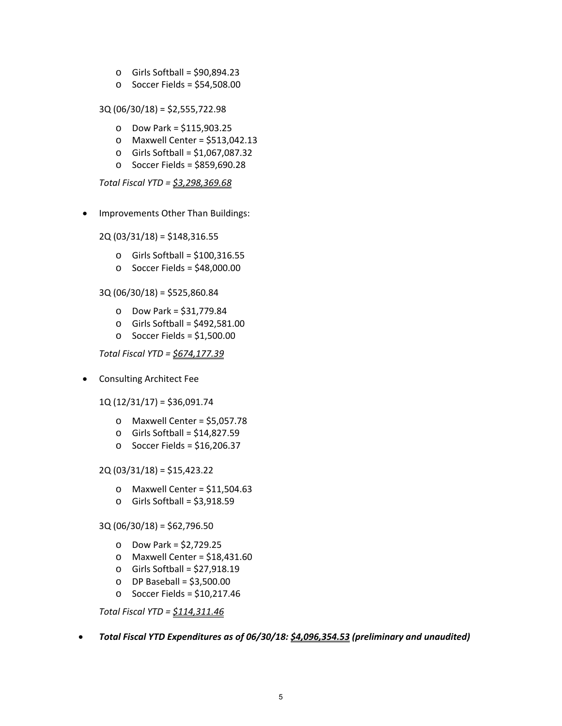- o Girls Softball = \$90,894.23
- o Soccer Fields = \$54,508.00

3Q (06/30/18) = \$2,555,722.98

- o Dow Park = \$115,903.25
- o Maxwell Center = \$513,042.13
- $\circ$  Girls Softball = \$1,067,087.32
- o Soccer Fields = \$859,690.28

*Total Fiscal YTD = \$3,298,369.68*

• Improvements Other Than Buildings:

2Q (03/31/18) = \$148,316.55

- o Girls Softball = \$100,316.55
- $\circ$  Soccer Fields = \$48,000.00

# 3Q (06/30/18) = \$525,860.84

- o Dow Park = \$31,779.84
- $\circ$  Girls Softball = \$492,581.00
- o Soccer Fields = \$1,500.00

*Total Fiscal YTD = \$674,177.39*

• Consulting Architect Fee

1Q (12/31/17) = \$36,091.74

- o Maxwell Center = \$5,057.78
- o Girls Softball = \$14,827.59
- o Soccer Fields = \$16,206.37

#### 2Q (03/31/18) = \$15,423.22

- $\circ$  Maxwell Center = \$11,504.63
- $\circ$  Girls Softball = \$3,918.59

# 3Q (06/30/18) = \$62,796.50

- o Dow Park = \$2,729.25
- $\circ$  Maxwell Center = \$18,431.60
- o Girls Softball = \$27,918.19
- $O$  DP Baseball = \$3,500.00
- $\circ$  Soccer Fields = \$10,217.46

*Total Fiscal YTD = \$114,311.46*

*Total Fiscal YTD Expenditures as of 06/30/18: \$4,096,354.53 (preliminary and unaudited)*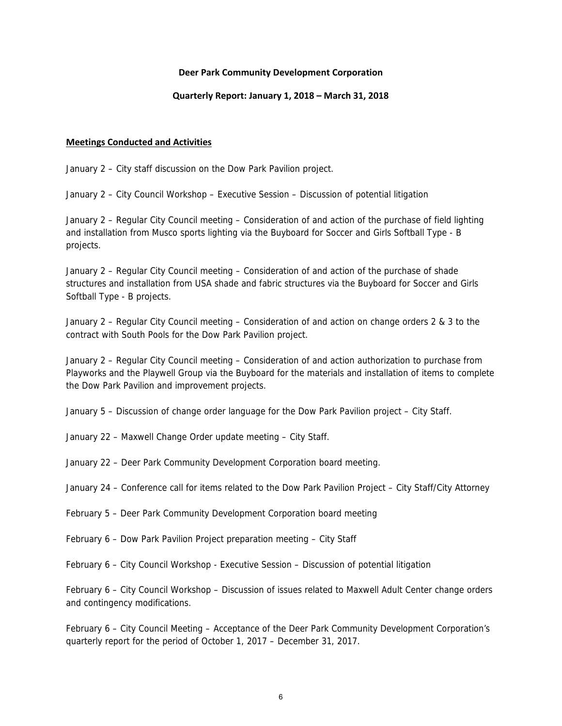#### **Deer Park Community Development Corporation**

#### **Quarterly Report: January 1, 2018 – March 31, 2018**

#### **Meetings Conducted and Activities**

January 2 – City staff discussion on the Dow Park Pavilion project.

January 2 – City Council Workshop – Executive Session – Discussion of potential litigation

January 2 – Regular City Council meeting – Consideration of and action of the purchase of field lighting and installation from Musco sports lighting via the Buyboard for Soccer and Girls Softball Type - B projects.

January 2 – Regular City Council meeting – Consideration of and action of the purchase of shade structures and installation from USA shade and fabric structures via the Buyboard for Soccer and Girls Softball Type - B projects.

January 2 – Regular City Council meeting – Consideration of and action on change orders 2 & 3 to the contract with South Pools for the Dow Park Pavilion project.

January 2 – Regular City Council meeting – Consideration of and action authorization to purchase from Playworks and the Playwell Group via the Buyboard for the materials and installation of items to complete the Dow Park Pavilion and improvement projects.

January 5 – Discussion of change order language for the Dow Park Pavilion project – City Staff.

January 22 – Maxwell Change Order update meeting – City Staff.

January 22 – Deer Park Community Development Corporation board meeting.

January 24 – Conference call for items related to the Dow Park Pavilion Project – City Staff/City Attorney

February 5 – Deer Park Community Development Corporation board meeting

February 6 – Dow Park Pavilion Project preparation meeting – City Staff

February 6 – City Council Workshop - Executive Session – Discussion of potential litigation

February 6 – City Council Workshop – Discussion of issues related to Maxwell Adult Center change orders and contingency modifications.

February 6 – City Council Meeting – Acceptance of the Deer Park Community Development Corporation's quarterly report for the period of October 1, 2017 – December 31, 2017.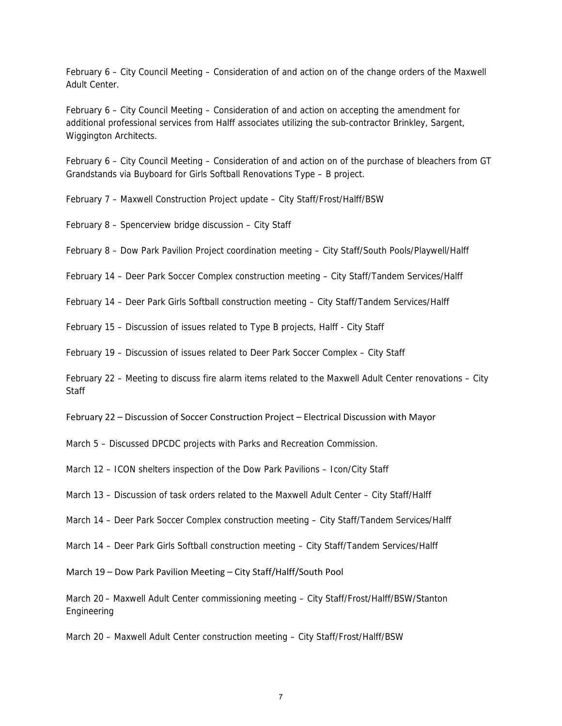February 6 – City Council Meeting – Consideration of and action on of the change orders of the Maxwell Adult Center.

February 6 – City Council Meeting – Consideration of and action on accepting the amendment for additional professional services from Halff associates utilizing the sub-contractor Brinkley, Sargent, Wiggington Architects.

February 6 – City Council Meeting – Consideration of and action on of the purchase of bleachers from GT Grandstands via Buyboard for Girls Softball Renovations Type – B project.

February 7 – Maxwell Construction Project update – City Staff/Frost/Halff/BSW

February 8 – Spencerview bridge discussion – City Staff

February 8 – Dow Park Pavilion Project coordination meeting – City Staff/South Pools/Playwell/Halff

February 14 – Deer Park Soccer Complex construction meeting – City Staff/Tandem Services/Halff

February 14 – Deer Park Girls Softball construction meeting – City Staff/Tandem Services/Halff

February 15 – Discussion of issues related to Type B projects, Halff - City Staff

February 19 – Discussion of issues related to Deer Park Soccer Complex – City Staff

February 22 – Meeting to discuss fire alarm items related to the Maxwell Adult Center renovations – City **Staff** 

February 22 – Discussion of Soccer Construction Project – Electrical Discussion with Mayor

March 5 – Discussed DPCDC projects with Parks and Recreation Commission.

March 12 – ICON shelters inspection of the Dow Park Pavilions – Icon/City Staff

March 13 – Discussion of task orders related to the Maxwell Adult Center – City Staff/Halff

March 14 – Deer Park Soccer Complex construction meeting – City Staff/Tandem Services/Halff

March 14 – Deer Park Girls Softball construction meeting – City Staff/Tandem Services/Halff

March 19 – Dow Park Pavilion Meeting – City Staff/Halff/South Pool

March 20 – Maxwell Adult Center commissioning meeting – City Staff/Frost/Halff/BSW/Stanton Engineering

March 20 – Maxwell Adult Center construction meeting – City Staff/Frost/Halff/BSW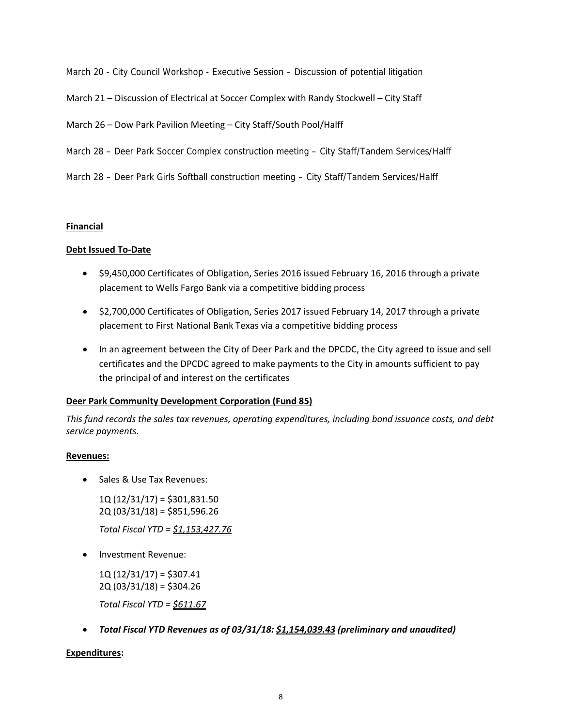March 20 - City Council Workshop - Executive Session – Discussion of potential litigation

March 21 – Discussion of Electrical at Soccer Complex with Randy Stockwell – City Staff

March 26 – Dow Park Pavilion Meeting – City Staff/South Pool/Halff

- March 28 Deer Park Soccer Complex construction meeting City Staff/Tandem Services/Halff
- March 28 Deer Park Girls Softball construction meeting City Staff/Tandem Services/Halff

# **Financial**

# **Debt Issued To‐Date**

- \$9,450,000 Certificates of Obligation, Series 2016 issued February 16, 2016 through a private placement to Wells Fargo Bank via a competitive bidding process
- \$2,700,000 Certificates of Obligation, Series 2017 issued February 14, 2017 through a private placement to First National Bank Texas via a competitive bidding process
- In an agreement between the City of Deer Park and the DPCDC, the City agreed to issue and sell certificates and the DPCDC agreed to make payments to the City in amounts sufficient to pay the principal of and interest on the certificates

# **Deer Park Community Development Corporation (Fund 85)**

*This fund records the sales tax revenues, operating expenditures, including bond issuance costs, and debt service payments.*

# **Revenues:**

• Sales & Use Tax Revenues:

1Q (12/31/17) = \$301,831.50 2Q (03/31/18) = \$851,596.26

*Total Fiscal YTD = \$1,153,427.76*

• Investment Revenue:

1Q (12/31/17) = \$307.41 2Q (03/31/18) = \$304.26

*Total Fiscal YTD = \$611.67*

*Total Fiscal YTD Revenues as of 03/31/18: \$1,154,039.43 (preliminary and unaudited)*

# **Expenditures:**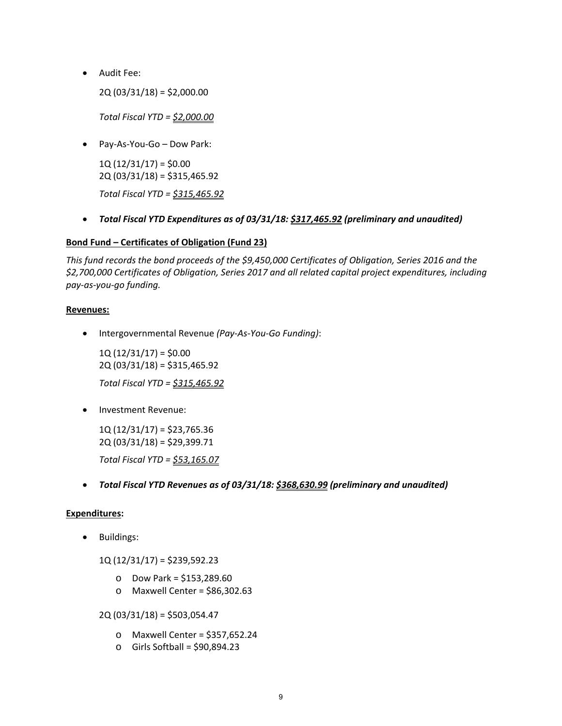Audit Fee:

2Q (03/31/18) = \$2,000.00

*Total Fiscal YTD = \$2,000.00*

Pay‐As‐You‐Go – Dow Park:

 $1Q(12/31/17) = $0.00$ 2Q (03/31/18) = \$315,465.92

*Total Fiscal YTD = \$315,465.92*

*Total Fiscal YTD Expenditures as of 03/31/18: \$317,465.92 (preliminary and unaudited)*

# **Bond Fund – Certificates of Obligation (Fund 23)**

*This fund records the bond proceeds of the \$9,450,000 Certificates of Obligation, Series 2016 and the \$2,700,000 Certificates of Obligation, Series 2017 and all related capital project expenditures, including pay‐as‐you‐go funding.*

# **Revenues:**

Intergovernmental Revenue *(Pay‐As‐You‐Go Funding)*:

 $1Q(12/31/17) = $0.00$ 2Q (03/31/18) = \$315,465.92 *Total Fiscal YTD = \$315,465.92*

Investment Revenue:

1Q (12/31/17) = \$23,765.36 2Q (03/31/18) = \$29,399.71 *Total Fiscal YTD = \$53,165.07*

*Total Fiscal YTD Revenues as of 03/31/18: \$368,630.99 (preliminary and unaudited)*

# **Expenditures:**

• Buildings:

1Q (12/31/17) = \$239,592.23

- o Dow Park = \$153,289.60
- o Maxwell Center = \$86,302.63

2Q (03/31/18) = \$503,054.47

- o Maxwell Center = \$357,652.24
- o Girls Softball = \$90,894.23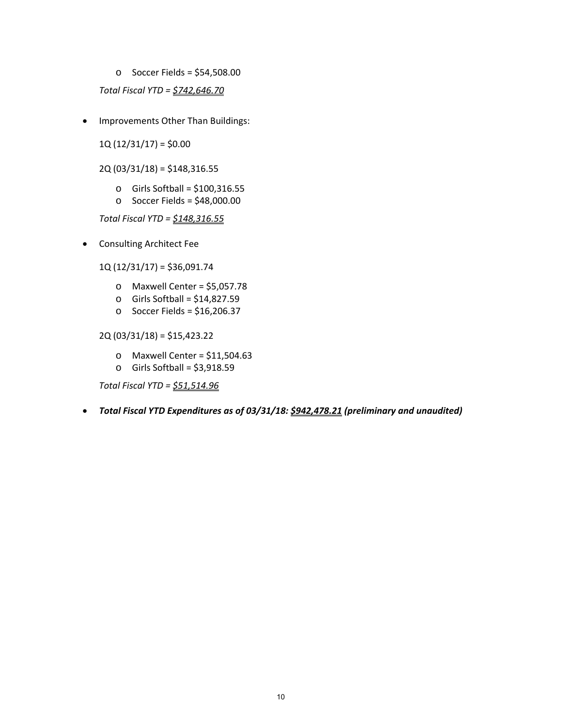o Soccer Fields = \$54,508.00

*Total Fiscal YTD = \$742,646.70*

• Improvements Other Than Buildings:

 $1Q(12/31/17) = $0.00$ 

2Q (03/31/18) = \$148,316.55

- $\circ$  Girls Softball = \$100,316.55
- $\circ$  Soccer Fields = \$48,000.00

*Total Fiscal YTD = \$148,316.55*

Consulting Architect Fee

1Q (12/31/17) = \$36,091.74

- o Maxwell Center = \$5,057.78
- o Girls Softball = \$14,827.59
- $\circ$  Soccer Fields = \$16,206.37

2Q (03/31/18) = \$15,423.22

- $\circ$  Maxwell Center = \$11,504.63
- $\circ$  Girls Softball = \$3,918.59

*Total Fiscal YTD = \$51,514.96*

*Total Fiscal YTD Expenditures as of 03/31/18: \$942,478.21 (preliminary and unaudited)*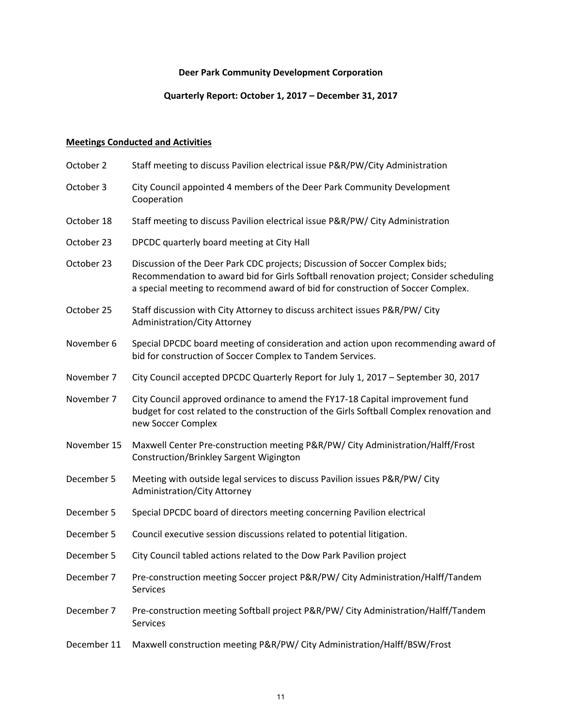# **Deer Park Community Development Corporation**

# **Quarterly Report: October 1, 2017 – December 31, 2017**

# **Meetings Conducted and Activities**

| Staff meeting to discuss Pavilion electrical issue P&R/PW/City Administration                                                                                                                                                                             |
|-----------------------------------------------------------------------------------------------------------------------------------------------------------------------------------------------------------------------------------------------------------|
| City Council appointed 4 members of the Deer Park Community Development<br>Cooperation                                                                                                                                                                    |
| Staff meeting to discuss Pavilion electrical issue P&R/PW/ City Administration                                                                                                                                                                            |
| DPCDC quarterly board meeting at City Hall                                                                                                                                                                                                                |
| Discussion of the Deer Park CDC projects; Discussion of Soccer Complex bids;<br>Recommendation to award bid for Girls Softball renovation project; Consider scheduling<br>a special meeting to recommend award of bid for construction of Soccer Complex. |
| Staff discussion with City Attorney to discuss architect issues P&R/PW/ City<br>Administration/City Attorney                                                                                                                                              |
| Special DPCDC board meeting of consideration and action upon recommending award of<br>bid for construction of Soccer Complex to Tandem Services.                                                                                                          |
| City Council accepted DPCDC Quarterly Report for July 1, 2017 - September 30, 2017                                                                                                                                                                        |
| City Council approved ordinance to amend the FY17-18 Capital improvement fund<br>budget for cost related to the construction of the Girls Softball Complex renovation and<br>new Soccer Complex                                                           |
| Maxwell Center Pre-construction meeting P&R/PW/ City Administration/Halff/Frost<br>Construction/Brinkley Sargent Wigington                                                                                                                                |
| Meeting with outside legal services to discuss Pavilion issues P&R/PW/ City<br>Administration/City Attorney                                                                                                                                               |
| Special DPCDC board of directors meeting concerning Pavilion electrical                                                                                                                                                                                   |
| Council executive session discussions related to potential litigation.                                                                                                                                                                                    |
| City Council tabled actions related to the Dow Park Pavilion project                                                                                                                                                                                      |
| Pre-construction meeting Soccer project P&R/PW/ City Administration/Halff/Tandem<br>Services                                                                                                                                                              |
| Pre-construction meeting Softball project P&R/PW/ City Administration/Halff/Tandem<br>Services                                                                                                                                                            |
| Maxwell construction meeting P&R/PW/ City Administration/Halff/BSW/Frost                                                                                                                                                                                  |
|                                                                                                                                                                                                                                                           |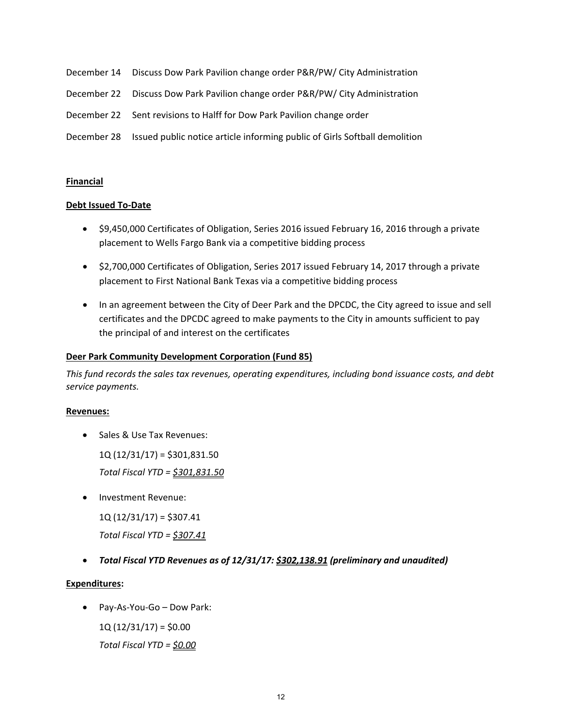- December 14 Discuss Dow Park Pavilion change order P&R/PW/ City Administration
- December 22 Discuss Dow Park Pavilion change order P&R/PW/ City Administration
- December 22 Sent revisions to Halff for Dow Park Pavilion change order
- December 28 Issued public notice article informing public of Girls Softball demolition

#### **Financial**

#### **Debt Issued To‐Date**

- \$9,450,000 Certificates of Obligation, Series 2016 issued February 16, 2016 through a private placement to Wells Fargo Bank via a competitive bidding process
- \$2,700,000 Certificates of Obligation, Series 2017 issued February 14, 2017 through a private placement to First National Bank Texas via a competitive bidding process
- In an agreement between the City of Deer Park and the DPCDC, the City agreed to issue and sell certificates and the DPCDC agreed to make payments to the City in amounts sufficient to pay the principal of and interest on the certificates

#### **Deer Park Community Development Corporation (Fund 85)**

*This fund records the sales tax revenues, operating expenditures, including bond issuance costs, and debt service payments.*

#### **Revenues:**

• Sales & Use Tax Revenues:

 $1Q(12/31/17) = $301,831.50$ 

*Total Fiscal YTD = \$301,831.50*

Investment Revenue:

1Q (12/31/17) = \$307.41

*Total Fiscal YTD = \$307.41*

*Total Fiscal YTD Revenues as of 12/31/17: \$302,138.91 (preliminary and unaudited)*

# **Expenditures:**

Pay‐As‐You‐Go – Dow Park:

 $1Q(12/31/17) = $0.00$ 

*Total Fiscal YTD = \$0.00*